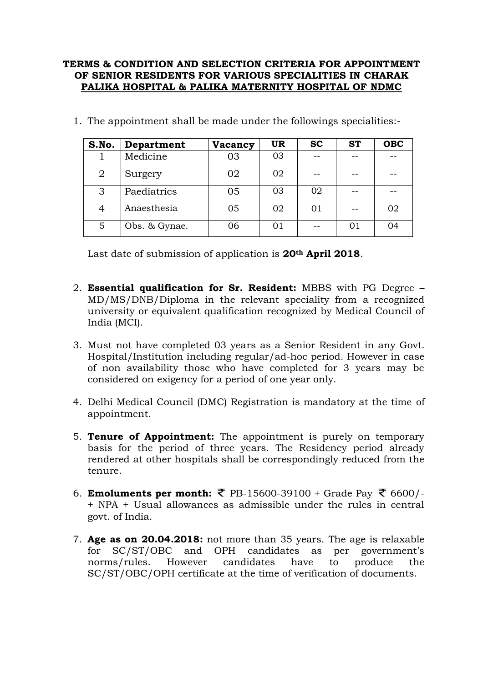## **TERMS & CONDITION AND SELECTION CRITERIA FOR APPOINTMENT OF SENIOR RESIDENTS FOR VARIOUS SPECIALITIES IN CHARAK PALIKA HOSPITAL & PALIKA MATERNITY HOSPITAL OF NDMC**

| S.No.          | Department    | Vacancy | <b>UR</b> | <b>SC</b> | <b>ST</b> | <b>OBC</b> |
|----------------|---------------|---------|-----------|-----------|-----------|------------|
|                | Medicine      | 03      | 03        |           |           |            |
| $\overline{2}$ | Surgery       | 02      | 02        |           |           |            |
| 3              | Paediatrics   | 05      | 03        | 02        |           |            |
| 4              | Anaesthesia   | 05      | 02        | 01        |           | 02         |
| 5              | Obs. & Gynae. | 06      | 01        |           | 01        | 04         |

1. The appointment shall be made under the followings specialities:-

Last date of submission of application is **20th April 2018**.

- 2. **Essential qualification for Sr. Resident:** MBBS with PG Degree MD/MS/DNB/Diploma in the relevant speciality from a recognized university or equivalent qualification recognized by Medical Council of India (MCI).
- 3. Must not have completed 03 years as a Senior Resident in any Govt. Hospital/Institution including regular/ad-hoc period. However in case of non availability those who have completed for 3 years may be considered on exigency for a period of one year only.
- 4. Delhi Medical Council (DMC) Registration is mandatory at the time of appointment.
- 5. **Tenure of Appointment:** The appointment is purely on temporary basis for the period of three years. The Residency period already rendered at other hospitals shall be correspondingly reduced from the tenure.
- 6. **Emoluments per month:** ₹ PB-15600-39100 + Grade Pay ₹ 6600/-+ NPA + Usual allowances as admissible under the rules in central govt. of India.
- 7. **Age as on 20.04.2018:** not more than 35 years. The age is relaxable for SC/ST/OBC and OPH candidates as per government's norms/rules. However candidates have to produce the SC/ST/OBC/OPH certificate at the time of verification of documents.